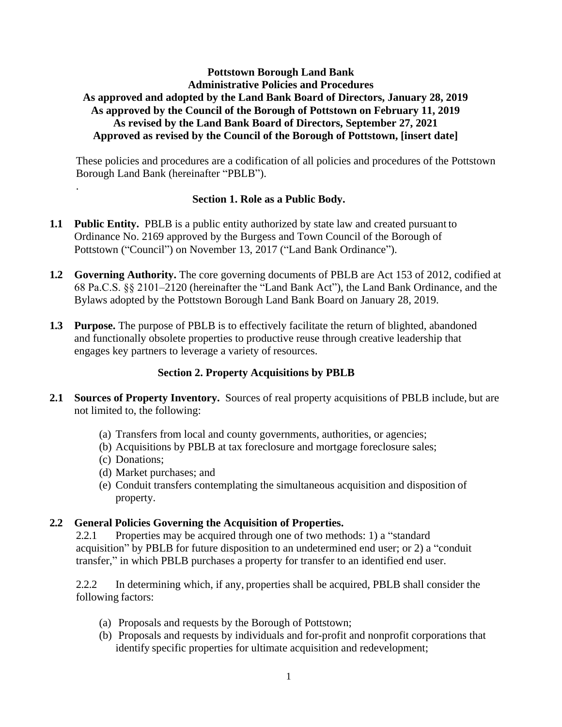# **Pottstown Borough Land Bank Administrative Policies and Procedures As approved and adopted by the Land Bank Board of Directors, January 28, 2019 As approved by the Council of the Borough of Pottstown on February 11, 2019 As revised by the Land Bank Board of Directors, September 27, 2021 Approved as revised by the Council of the Borough of Pottstown, [insert date]**

These policies and procedures are a codification of all policies and procedures of the Pottstown Borough Land Bank (hereinafter "PBLB").

#### **Section 1. Role as a Public Body.**

- **1.1 Public Entity.** PBLB is a public entity authorized by state law and created pursuant to Ordinance No. 2169 approved by the Burgess and Town Council of the Borough of Pottstown ("Council") on November 13, 2017 ("Land Bank Ordinance").
- **1.2 Governing Authority.** The core governing documents of PBLB are Act 153 of 2012, codified at 68 Pa.C.S. §§ 2101–2120 (hereinafter the "Land Bank Act"), the Land Bank Ordinance, and the Bylaws adopted by the Pottstown Borough Land Bank Board on January 28, 2019.
- **1.3 Purpose.** The purpose of PBLB is to effectively facilitate the return of blighted, abandoned and functionally obsolete properties to productive reuse through creative leadership that engages key partners to leverage a variety of resources.

# **Section 2. Property Acquisitions by PBLB**

- **2.1 Sources of Property Inventory.** Sources of real property acquisitions of PBLB include, but are not limited to, the following:
	- (a) Transfers from local and county governments, authorities, or agencies;
	- (b) Acquisitions by PBLB at tax foreclosure and mortgage foreclosure sales;
	- (c) Donations;

.

- (d) Market purchases; and
- (e) Conduit transfers contemplating the simultaneous acquisition and disposition of property.

# **2.2 General Policies Governing the Acquisition of Properties.**

2.2.1 Properties may be acquired through one of two methods: 1) a "standard acquisition" by PBLB for future disposition to an undetermined end user; or 2) a "conduit transfer," in which PBLB purchases a property for transfer to an identified end user.

2.2.2 In determining which, if any, properties shall be acquired, PBLB shall consider the following factors:

- (a) Proposals and requests by the Borough of Pottstown;
- (b) Proposals and requests by individuals and for-profit and nonprofit corporations that identify specific properties for ultimate acquisition and redevelopment;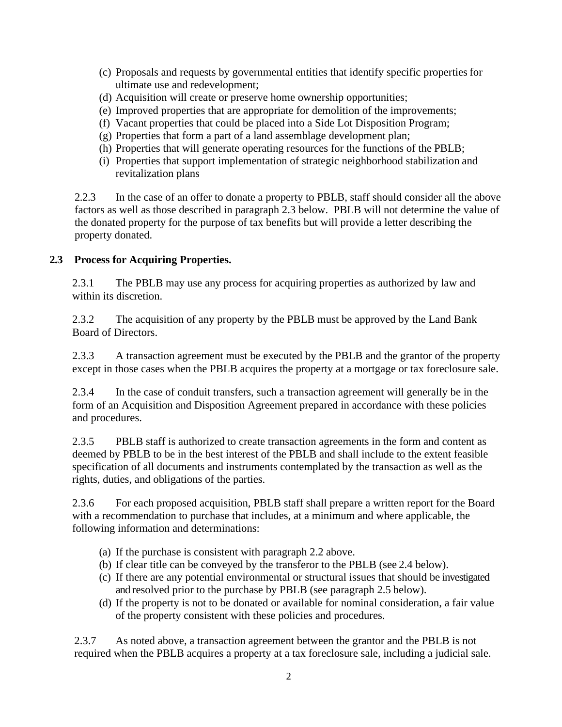- (c) Proposals and requests by governmental entities that identify specific propertiesfor ultimate use and redevelopment;
- (d) Acquisition will create or preserve home ownership opportunities;
- (e) Improved properties that are appropriate for demolition of the improvements;
- (f) Vacant properties that could be placed into a Side Lot Disposition Program;
- (g) Properties that form a part of a land assemblage development plan;
- (h) Properties that will generate operating resources for the functions of the PBLB;
- (i) Properties that support implementation of strategic neighborhood stabilization and revitalization plans

2.2.3 In the case of an offer to donate a property to PBLB, staff should consider all the above factors as well as those described in paragraph 2.3 below. PBLB will not determine the value of the donated property for the purpose of tax benefits but will provide a letter describing the property donated.

#### **2.3 Process for Acquiring Properties.**

2.3.1 The PBLB may use any process for acquiring properties as authorized by law and within its discretion.

2.3.2 The acquisition of any property by the PBLB must be approved by the Land Bank Board of Directors.

2.3.3 A transaction agreement must be executed by the PBLB and the grantor of the property except in those cases when the PBLB acquires the property at a mortgage or tax foreclosure sale.

2.3.4 In the case of conduit transfers, such a transaction agreement will generally be in the form of an Acquisition and Disposition Agreement prepared in accordance with these policies and procedures.

2.3.5 PBLB staff is authorized to create transaction agreements in the form and content as deemed by PBLB to be in the best interest of the PBLB and shall include to the extent feasible specification of all documents and instruments contemplated by the transaction as well as the rights, duties, and obligations of the parties.

2.3.6 For each proposed acquisition, PBLB staff shall prepare a written report for the Board with a recommendation to purchase that includes, at a minimum and where applicable, the following information and determinations:

- (a) If the purchase is consistent with paragraph 2.2 above.
- (b) If clear title can be conveyed by the transferor to the PBLB (see 2.4 below).
- (c) If there are any potential environmental or structural issues that should be investigated and resolved prior to the purchase by PBLB (see paragraph 2.5 below).
- (d) If the property is not to be donated or available for nominal consideration, a fair value of the property consistent with these policies and procedures.

2.3.7 As noted above, a transaction agreement between the grantor and the PBLB is not required when the PBLB acquires a property at a tax foreclosure sale, including a judicial sale.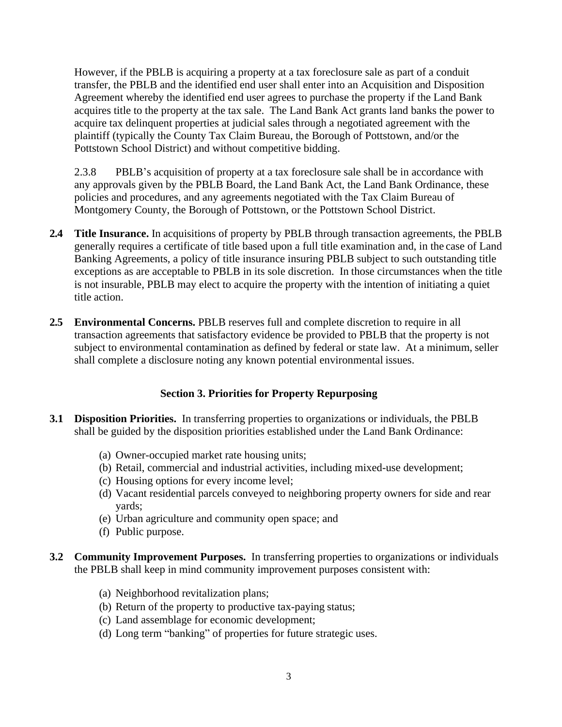However, if the PBLB is acquiring a property at a tax foreclosure sale as part of a conduit transfer, the PBLB and the identified end user shall enter into an Acquisition and Disposition Agreement whereby the identified end user agrees to purchase the property if the Land Bank acquires title to the property at the tax sale. The Land Bank Act grants land banks the power to acquire tax delinquent properties at judicial sales through a negotiated agreement with the plaintiff (typically the County Tax Claim Bureau, the Borough of Pottstown, and/or the Pottstown School District) and without competitive bidding.

2.3.8 PBLB's acquisition of property at a tax foreclosure sale shall be in accordance with any approvals given by the PBLB Board, the Land Bank Act, the Land Bank Ordinance, these policies and procedures, and any agreements negotiated with the Tax Claim Bureau of Montgomery County, the Borough of Pottstown, or the Pottstown School District.

- **2.4 Title Insurance.** In acquisitions of property by PBLB through transaction agreements, the PBLB generally requires a certificate of title based upon a full title examination and, in the case of Land Banking Agreements, a policy of title insurance insuring PBLB subject to such outstanding title exceptions as are acceptable to PBLB in its sole discretion. In those circumstances when the title is not insurable, PBLB may elect to acquire the property with the intention of initiating a quiet title action.
- **2.5 Environmental Concerns.** PBLB reserves full and complete discretion to require in all transaction agreements that satisfactory evidence be provided to PBLB that the property is not subject to environmental contamination as defined by federal or state law. At a minimum, seller shall complete a disclosure noting any known potential environmental issues.

# **Section 3. Priorities for Property Repurposing**

- **3.1 Disposition Priorities.** In transferring properties to organizations or individuals, the PBLB shall be guided by the disposition priorities established under the Land Bank Ordinance:
	- (a) Owner-occupied market rate housing units;
	- (b) Retail, commercial and industrial activities, including mixed-use development;
	- (c) Housing options for every income level;
	- (d) Vacant residential parcels conveyed to neighboring property owners for side and rear yards;
	- (e) Urban agriculture and community open space; and
	- (f) Public purpose.
- **3.2 Community Improvement Purposes.** In transferring properties to organizations or individuals the PBLB shall keep in mind community improvement purposes consistent with:
	- (a) Neighborhood revitalization plans;
	- (b) Return of the property to productive tax-paying status;
	- (c) Land assemblage for economic development;
	- (d) Long term "banking" of properties for future strategic uses.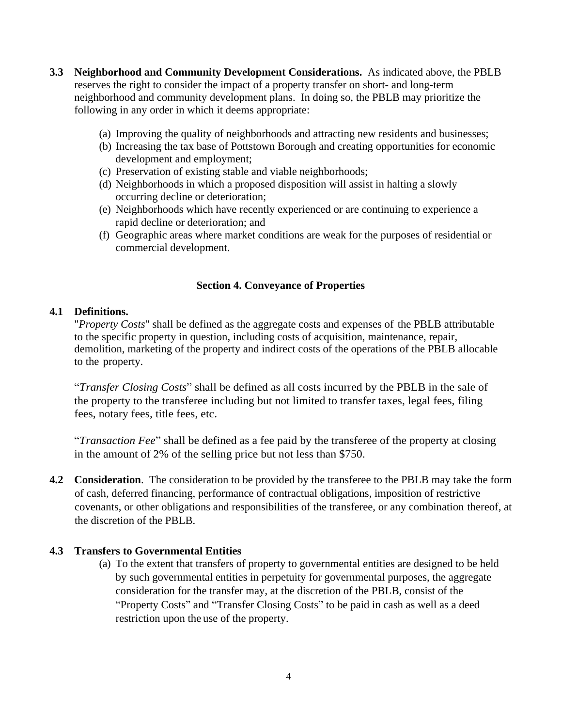- **3.3 Neighborhood and Community Development Considerations.** As indicated above, the PBLB reserves the right to consider the impact of a property transfer on short- and long-term neighborhood and community development plans. In doing so, the PBLB may prioritize the following in any order in which it deems appropriate:
	- (a) Improving the quality of neighborhoods and attracting new residents and businesses;
	- (b) Increasing the tax base of Pottstown Borough and creating opportunities for economic development and employment;
	- (c) Preservation of existing stable and viable neighborhoods;
	- (d) Neighborhoods in which a proposed disposition will assist in halting a slowly occurring decline or deterioration;
	- (e) Neighborhoods which have recently experienced or are continuing to experience a rapid decline or deterioration; and
	- (f) Geographic areas where market conditions are weak for the purposes of residential or commercial development.

#### **Section 4. Conveyance of Properties**

#### **4.1 Definitions.**

"*Property Costs*" shall be defined as the aggregate costs and expenses of the PBLB attributable to the specific property in question, including costs of acquisition, maintenance, repair, demolition, marketing of the property and indirect costs of the operations of the PBLB allocable to the property.

"*Transfer Closing Costs*" shall be defined as all costs incurred by the PBLB in the sale of the property to the transferee including but not limited to transfer taxes, legal fees, filing fees, notary fees, title fees, etc.

"*Transaction Fee*" shall be defined as a fee paid by the transferee of the property at closing in the amount of 2% of the selling price but not less than \$750.

**4.2 Consideration**. The consideration to be provided by the transferee to the PBLB may take the form of cash, deferred financing, performance of contractual obligations, imposition of restrictive covenants, or other obligations and responsibilities of the transferee, or any combination thereof, at the discretion of the PBLB.

# **4.3 Transfers to Governmental Entities**

(a) To the extent that transfers of property to governmental entities are designed to be held by such governmental entities in perpetuity for governmental purposes, the aggregate consideration for the transfer may, at the discretion of the PBLB, consist of the "Property Costs" and "Transfer Closing Costs" to be paid in cash as well as a deed restriction upon the use of the property.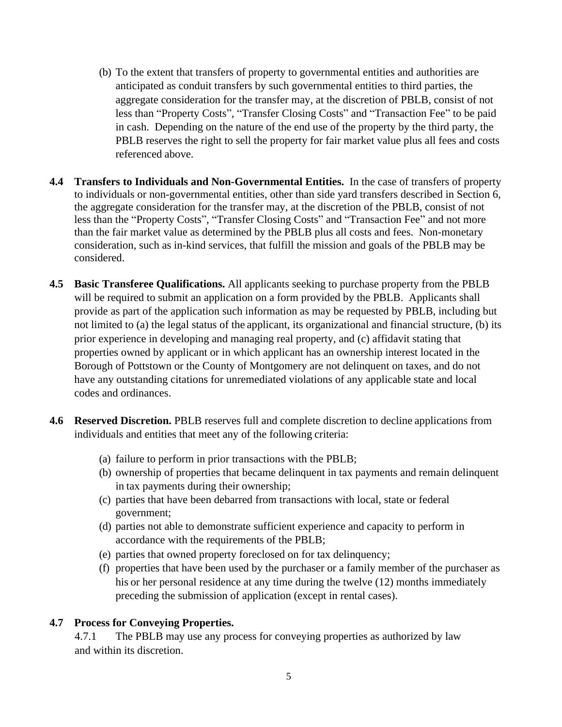- (b) To the extent that transfers of property to governmental entities and authorities are anticipated as conduit transfers by such governmental entities to third parties, the aggregate consideration for the transfer may, at the discretion of PBLB, consist of not less than "Property Costs", "Transfer Closing Costs" and "Transaction Fee" to be paid in cash. Depending on the nature of the end use of the property by the third party, the PBLB reserves the right to sell the property for fair market value plus all fees and costs referenced above.
- **4.4 Transfers to Individuals and Non-Governmental Entities.** In the case of transfers of property to individuals or non-governmental entities, other than side yard transfers described in Section 6, the aggregate consideration for the transfer may, at the discretion of the PBLB, consist of not less than the "Property Costs", "Transfer Closing Costs" and "Transaction Fee" and not more than the fair market value as determined by the PBLB plus all costs and fees. Non-monetary consideration, such as in-kind services, that fulfill the mission and goals of the PBLB may be considered.
- **4.5 Basic Transferee Qualifications.** All applicants seeking to purchase property from the PBLB will be required to submit an application on a form provided by the PBLB. Applicants shall provide as part of the application such information as may be requested by PBLB, including but not limited to (a) the legal status of the applicant, its organizational and financial structure, (b) its prior experience in developing and managing real property, and (c) affidavit stating that properties owned by applicant or in which applicant has an ownership interest located in the Borough of Pottstown or the County of Montgomery are not delinquent on taxes, and do not have any outstanding citations for unremediated violations of any applicable state and local codes and ordinances.
- **4.6 Reserved Discretion.** PBLB reserves full and complete discretion to decline applications from individuals and entities that meet any of the following criteria:
	- (a) failure to perform in prior transactions with the PBLB;
	- (b) ownership of properties that became delinquent in tax payments and remain delinquent in tax payments during their ownership;
	- (c) parties that have been debarred from transactions with local, state or federal government;
	- (d) parties not able to demonstrate sufficient experience and capacity to perform in accordance with the requirements of the PBLB;
	- (e) parties that owned property foreclosed on for tax delinquency;
	- (f) properties that have been used by the purchaser or a family member of the purchaser as his or her personal residence at any time during the twelve (12) months immediately preceding the submission of application (except in rental cases).

# **4.7 Process for Conveying Properties.**

4.7.1 The PBLB may use any process for conveying properties as authorized by law and within its discretion.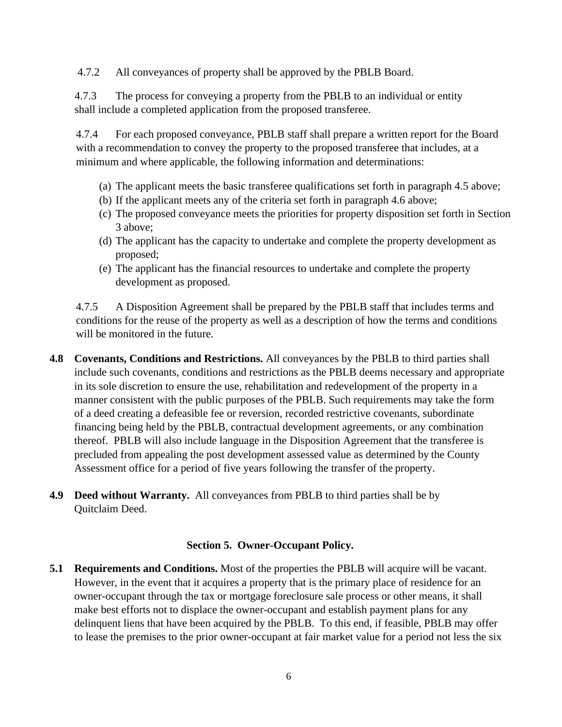4.7.2 All conveyances of property shall be approved by the PBLB Board.

4.7.3 The process for conveying a property from the PBLB to an individual or entity shall include a completed application from the proposed transferee.

4.7.4 For each proposed conveyance, PBLB staff shall prepare a written report for the Board with a recommendation to convey the property to the proposed transferee that includes, at a minimum and where applicable, the following information and determinations:

- (a) The applicant meets the basic transferee qualifications set forth in paragraph 4.5 above;
- (b) If the applicant meets any of the criteria set forth in paragraph 4.6 above;
- (c) The proposed conveyance meets the priorities for property disposition set forth in Section 3 above;
- (d) The applicant has the capacity to undertake and complete the property development as proposed;
- (e) The applicant has the financial resources to undertake and complete the property development as proposed.

4.7.5 A Disposition Agreement shall be prepared by the PBLB staff that includes terms and conditions for the reuse of the property as well as a description of how the terms and conditions will be monitored in the future.

- **4.8 Covenants, Conditions and Restrictions.** All conveyances by the PBLB to third parties shall include such covenants, conditions and restrictions as the PBLB deems necessary and appropriate in its sole discretion to ensure the use, rehabilitation and redevelopment of the property in a manner consistent with the public purposes of the PBLB. Such requirements may take the form of a deed creating a defeasible fee or reversion, recorded restrictive covenants, subordinate financing being held by the PBLB, contractual development agreements, or any combination thereof. PBLB will also include language in the Disposition Agreement that the transferee is precluded from appealing the post development assessed value as determined by the County Assessment office for a period of five years following the transfer of the property.
- **4.9 Deed without Warranty.** All conveyances from PBLB to third parties shall be by Quitclaim Deed.

#### **Section 5. Owner-Occupant Policy.**

**5.1 Requirements and Conditions.** Most of the properties the PBLB will acquire will be vacant. However, in the event that it acquires a property that is the primary place of residence for an owner-occupant through the tax or mortgage foreclosure sale process or other means, it shall make best efforts not to displace the owner-occupant and establish payment plans for any delinquent liens that have been acquired by the PBLB. To this end, if feasible, PBLB may offer to lease the premises to the prior owner-occupant at fair market value for a period not less the six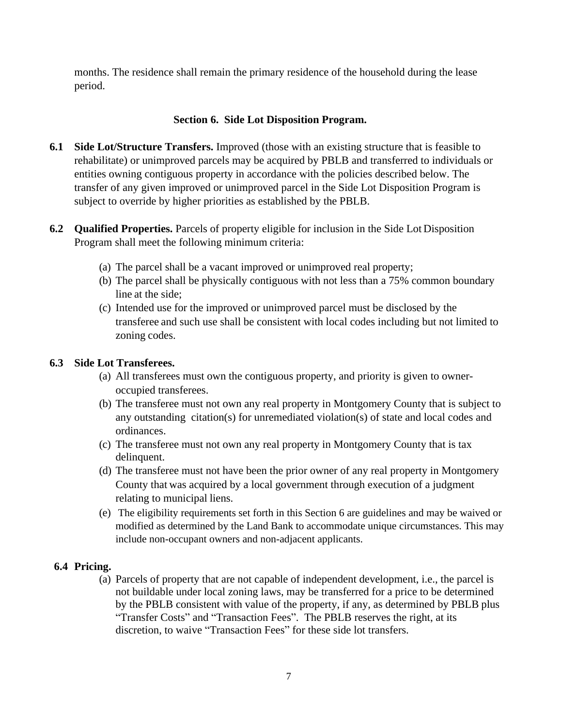months. The residence shall remain the primary residence of the household during the lease period.

### **Section 6. Side Lot Disposition Program.**

- **6.1 Side Lot/Structure Transfers.** Improved (those with an existing structure that is feasible to rehabilitate) or unimproved parcels may be acquired by PBLB and transferred to individuals or entities owning contiguous property in accordance with the policies described below. The transfer of any given improved or unimproved parcel in the Side Lot Disposition Program is subject to override by higher priorities as established by the PBLB.
- **6.2 Qualified Properties.** Parcels of property eligible for inclusion in the Side Lot Disposition Program shall meet the following minimum criteria:
	- (a) The parcel shall be a vacant improved or unimproved real property;
	- (b) The parcel shall be physically contiguous with not less than a 75% common boundary line at the side;
	- (c) Intended use for the improved or unimproved parcel must be disclosed by the transferee and such use shall be consistent with local codes including but not limited to zoning codes.

### **6.3 Side Lot Transferees.**

- (a) All transferees must own the contiguous property, and priority is given to owneroccupied transferees.
- (b) The transferee must not own any real property in Montgomery County that is subject to any outstanding citation(s) for unremediated violation(s) of state and local codes and ordinances.
- (c) The transferee must not own any real property in Montgomery County that is tax delinquent.
- (d) The transferee must not have been the prior owner of any real property in Montgomery County that was acquired by a local government through execution of a judgment relating to municipal liens.
- (e) The eligibility requirements set forth in this Section 6 are guidelines and may be waived or modified as determined by the Land Bank to accommodate unique circumstances. This may include non-occupant owners and non-adjacent applicants.

# **6.4 Pricing.**

(a) Parcels of property that are not capable of independent development, i.e., the parcel is not buildable under local zoning laws, may be transferred for a price to be determined by the PBLB consistent with value of the property, if any, as determined by PBLB plus "Transfer Costs" and "Transaction Fees". The PBLB reserves the right, at its discretion, to waive "Transaction Fees" for these side lot transfers.